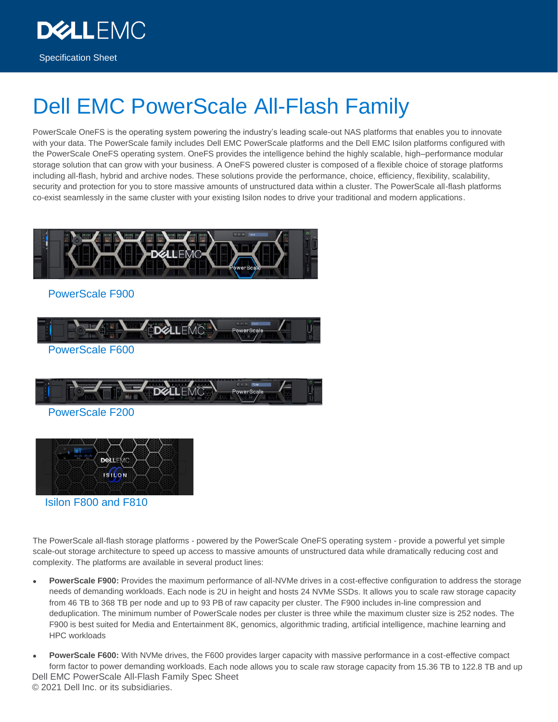Specification Sheet

**DEALLEMC** 

# Dell EMC PowerScale All-Flash Family

PowerScale OneFS is the operating system powering the industry's leading scale-out NAS platforms that enables you to innovate with your data. The PowerScale family includes Dell EMC PowerScale platforms and the Dell EMC Isilon platforms configured with the PowerScale OneFS operating system. OneFS provides the intelligence behind the highly scalable, high–performance modular storage solution that can grow with your business. A OneFS powered cluster is composed of a flexible choice of storage platforms including all-flash, hybrid and archive nodes. These solutions provide the performance, choice, efficiency, flexibility, scalability, security and protection for you to store massive amounts of unstructured data within a cluster. The PowerScale all-flash platforms co-exist seamlessly in the same cluster with your existing Isilon nodes to drive your traditional and modern applications.



### PowerScale F900



PowerScale F600



### PowerScale F200



Isilon F800 and F810

The PowerScale all-flash storage platforms - powered by the PowerScale OneFS operating system - provide a powerful yet simple scale-out storage architecture to speed up access to massive amounts of unstructured data while dramatically reducing cost and complexity. The platforms are available in several product lines:

- **PowerScale F900:** Provides the maximum performance of all-NVMe drives in a cost-effective configuration to address the storage needs of demanding workloads. Each node is 2U in height and hosts 24 NVMe SSDs. It allows you to scale raw storage capacity from 46 TB to 368 TB per node and up to 93 PB of raw capacity per cluster. The F900 includes in-line compression and deduplication. The minimum number of PowerScale nodes per cluster is three while the maximum cluster size is 252 nodes. The F900 is best suited for Media and Entertainment 8K, genomics, algorithmic trading, artificial intelligence, machine learning and HPC workloads
- Dell EMC PowerScale All-Flash Family Spec Sheet © 2021 Dell Inc. or its subsidiaries. • **PowerScale F600:** With NVMe drives, the F600 provides larger capacity with massive performance in a cost-effective compact form factor to power demanding workloads. Each node allows you to scale raw storage capacity from 15.36 TB to 122.8 TB and up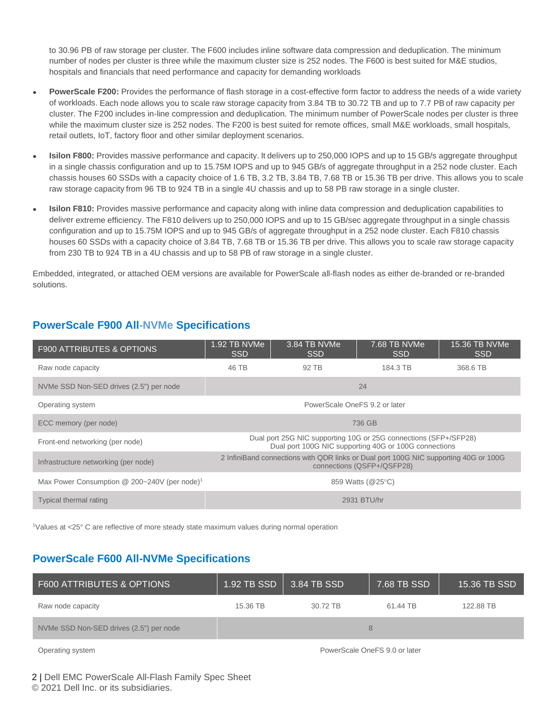to 30.96 PB of raw storage per cluster. The F600 includes inline software data compression and deduplication. The minimum number of nodes per cluster is three while the maximum cluster size is 252 nodes. The F600 is best suited for M&E studios, hospitals and financials that need performance and capacity for demanding workloads

- **PowerScale F200:** Provides the performance of flash storage in a cost-effective form factor to address the needs of a wide variety of workloads. Each node allows you to scale raw storage capacity from 3.84 TB to 30.72 TB and up to 7.7 PB of raw capacity per cluster. The F200 includes in-line compression and deduplication. The minimum number of PowerScale nodes per cluster is three while the maximum cluster size is 252 nodes. The F200 is best suited for remote offices, small M&E workloads, small hospitals, retail outlets, IoT, factory floor and other similar deployment scenarios.
- **Isilon F800:** Provides massive performance and capacity. It delivers up to 250,000 IOPS and up to 15 GB/s aggregate throughput in a single chassis configuration and up to 15.75M IOPS and up to 945 GB/s of aggregate throughput in a 252 node cluster. Each chassis houses 60 SSDs with a capacity choice of 1.6 TB, 3.2 TB, 3.84 TB, 7.68 TB or 15.36 TB per drive. This allows you to scale raw storage capacity from 96 TB to 924 TB in a single 4U chassis and up to 58 PB raw storage in a single cluster.
- **Isilon F810:** Provides massive performance and capacity along with inline data compression and deduplication capabilities to deliver extreme efficiency. The F810 delivers up to 250,000 IOPS and up to 15 GB/sec aggregate throughput in a single chassis configuration and up to 15.75M IOPS and up to 945 GB/s of aggregate throughput in a 252 node cluster. Each F810 chassis houses 60 SSDs with a capacity choice of 3.84 TB, 7.68 TB or 15.36 TB per drive. This allows you to scale raw storage capacity from 230 TB to 924 TB in a 4U chassis and up to 58 PB of raw storage in a single cluster.

Embedded, integrated, or attached OEM versions are available for PowerScale all-flash nodes as either de-branded or re-branded solutions.

| <b>F900 ATTRIBUTES &amp; OPTIONS</b>                       | 1.92 TB NVMe<br><b>SSD</b>                                                                                                | 3.84 TB NVMe<br><b>SSD</b> | 7.68 TB NVMe<br><b>SSD</b> | 15.36 TB NVMe<br><b>SSD</b> |
|------------------------------------------------------------|---------------------------------------------------------------------------------------------------------------------------|----------------------------|----------------------------|-----------------------------|
| Raw node capacity                                          | 46 TB                                                                                                                     | 92 TB                      | 184.3 TB                   | 368.6 TB                    |
| NVMe SSD Non-SED drives (2.5") per node                    | 24                                                                                                                        |                            |                            |                             |
| Operating system                                           | PowerScale OneFS 9.2 or later                                                                                             |                            |                            |                             |
| ECC memory (per node)                                      | 736 GB                                                                                                                    |                            |                            |                             |
| Front-end networking (per node)                            | Dual port 25G NIC supporting 10G or 25G connections (SFP+/SFP28)<br>Dual port 100G NIC supporting 40G or 100G connections |                            |                            |                             |
| Infrastructure networking (per node)                       | 2 InfiniBand connections with QDR links or Dual port 100G NIC supporting 40G or 100G<br>connections (QSFP+/QSFP28)        |                            |                            |                             |
| Max Power Consumption $@$ 200~240V (per node) <sup>1</sup> | 859 Watts (@25°C)                                                                                                         |                            |                            |                             |
| Typical thermal rating                                     | 2931 BTU/hr                                                                                                               |                            |                            |                             |

## **PowerScale F900 All-NVMe Specifications**

<sup>1</sup>Values at <25° C are reflective of more steady state maximum values during normal operation

## **PowerScale F600 All-NVMe Specifications**

| F600 ATTRIBUTES & OPTIONS               | 1.92 TB SSD | $3.84$ TB SSD <sup>1</sup> | 7.68 TB SSD | 15.36 TB SSD |
|-----------------------------------------|-------------|----------------------------|-------------|--------------|
| Raw node capacity                       | 15.36 TB    | 30.72 TB                   | 61.44 TB    | 122.88 TB    |
| NVMe SSD Non-SED drives (2.5") per node |             |                            |             |              |

Operating system **PowerScale OneFS 9.0 or later** PowerScale OneFS 9.0 or later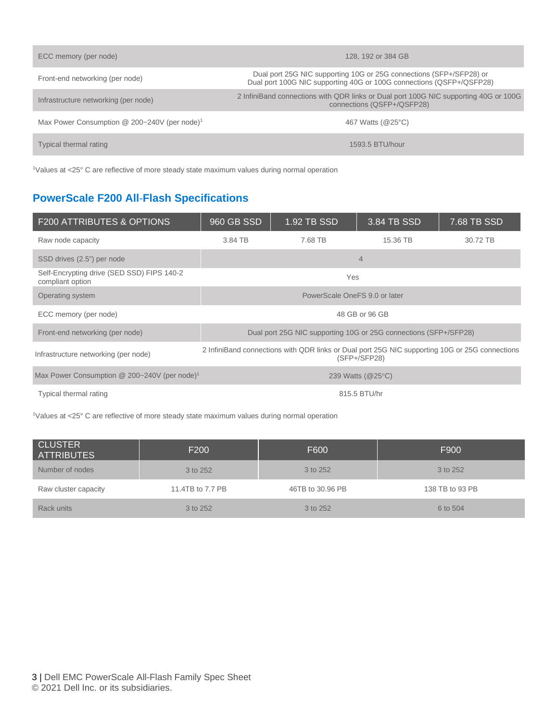| ECC memory (per node)                                      | 128, 192 or 384 GB                                                                                                                          |
|------------------------------------------------------------|---------------------------------------------------------------------------------------------------------------------------------------------|
| Front-end networking (per node)                            | Dual port 25G NIC supporting 10G or 25G connections (SFP+/SFP28) or<br>Dual port 100G NIC supporting 40G or 100G connections (QSFP+/QSFP28) |
| Infrastructure networking (per node)                       | 2 InfiniBand connections with QDR links or Dual port 100G NIC supporting 40G or 100G<br>connections (QSFP+/QSFP28)                          |
| Max Power Consumption $@$ 200~240V (per node) <sup>1</sup> | 467 Watts (@25°C)                                                                                                                           |
| Typical thermal rating                                     | 1593.5 BTU/hour                                                                                                                             |

<sup>1</sup>Values at <25° C are reflective of more steady state maximum values during normal operation

# **PowerScale F200 All-Flash Specifications**

| <b>F200 ATTRIBUTES &amp; OPTIONS</b>                           | 960 GB SSD                                                                                                       | 1.92 TB SSD | 3.84 TB SSD | 7.68 TB SSD |
|----------------------------------------------------------------|------------------------------------------------------------------------------------------------------------------|-------------|-------------|-------------|
| Raw node capacity                                              | 3.84 TB                                                                                                          | 7.68 TB     | 15.36 TB    | 30.72 TB    |
| SSD drives (2.5") per node                                     |                                                                                                                  |             | 4           |             |
| Self-Encrypting drive (SED SSD) FIPS 140-2<br>compliant option | Yes                                                                                                              |             |             |             |
| Operating system                                               | PowerScale OneFS 9.0 or later                                                                                    |             |             |             |
| ECC memory (per node)                                          | 48 GB or 96 GB                                                                                                   |             |             |             |
| Front-end networking (per node)                                | Dual port 25G NIC supporting 10G or 25G connections (SFP+/SFP28)                                                 |             |             |             |
| Infrastructure networking (per node)                           | 2 InfiniBand connections with QDR links or Dual port 25G NIC supporting 10G or 25G connections<br>$(SFP+/SFP28)$ |             |             |             |
| Max Power Consumption @ 200~240V (per node) <sup>1</sup>       | 239 Watts (@25°C)                                                                                                |             |             |             |
| Typical thermal rating                                         | 815.5 BTU/hr                                                                                                     |             |             |             |

<sup>1</sup>Values at <25° C are reflective of more steady state maximum values during normal operation

| <b>CLUSTER</b><br><b>ATTRIBUTES</b> | F <sub>200</sub> | F600             | F900            |
|-------------------------------------|------------------|------------------|-----------------|
| Number of nodes                     | 3 to 252         | 3 to 252         | 3 to 252        |
| Raw cluster capacity                | 11.4TB to 7.7 PB | 46TB to 30.96 PB | 138 TB to 93 PB |
| Rack units                          | 3 to 252         | 3 to 252         | 6 to 504        |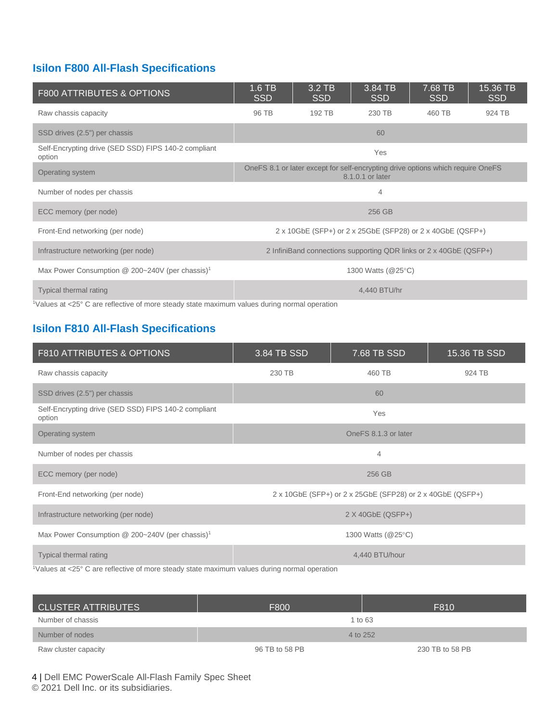# **Isilon F800 All-Flash Specifications**

| <b>F800 ATTRIBUTES &amp; OPTIONS</b>                                                                                        | $1.6$ TB<br><b>SSD</b>                                                                              | 3.2 TB<br><b>SSD</b> | 3.84 TB<br><b>SSD</b> | 7.68 TB<br><b>SSD</b> | 15.36 TB<br>SSD |
|-----------------------------------------------------------------------------------------------------------------------------|-----------------------------------------------------------------------------------------------------|----------------------|-----------------------|-----------------------|-----------------|
| Raw chassis capacity                                                                                                        | 96 TB                                                                                               | 192 TB               | 230 TB                | 460 TB                | 924 TB          |
| SSD drives (2.5") per chassis                                                                                               |                                                                                                     |                      | 60                    |                       |                 |
| Self-Encrypting drive (SED SSD) FIPS 140-2 compliant<br>option                                                              | Yes                                                                                                 |                      |                       |                       |                 |
| Operating system                                                                                                            | OneFS 8.1 or later except for self-encrypting drive options which require OneFS<br>8.1.0.1 or later |                      |                       |                       |                 |
| Number of nodes per chassis                                                                                                 | 4                                                                                                   |                      |                       |                       |                 |
| ECC memory (per node)                                                                                                       | 256 GB                                                                                              |                      |                       |                       |                 |
| Front-End networking (per node)                                                                                             | 2 x 10GbE (SFP+) or 2 x 25GbE (SFP28) or 2 x 40GbE (QSFP+)                                          |                      |                       |                       |                 |
| Infrastructure networking (per node)                                                                                        | 2 InfiniBand connections supporting QDR links or 2 x 40GbE (QSFP+)                                  |                      |                       |                       |                 |
| Max Power Consumption @ 200~240V (per chassis) <sup>1</sup>                                                                 | 1300 Watts (@25°C)                                                                                  |                      |                       |                       |                 |
| <b>Typical thermal rating</b><br>Values of 2250 C are reflective of mare stoody state mayimum values during permal energian | 4,440 BTU/hr                                                                                        |                      |                       |                       |                 |

<sup>1</sup>Values at <25° C are reflective of more steady state maximum values during normal operation

# **Isilon F810 All-Flash Specifications**

| F810 ATTRIBUTES & OPTIONS                                                                                          | 3.84 TB SSD                                                | 7.68 TB SSD | 15.36 TB SSD |  |  |
|--------------------------------------------------------------------------------------------------------------------|------------------------------------------------------------|-------------|--------------|--|--|
| Raw chassis capacity                                                                                               | 230 TB                                                     | 460 TB      | 924 TB       |  |  |
| SSD drives (2.5") per chassis                                                                                      | 60                                                         |             |              |  |  |
| Self-Encrypting drive (SED SSD) FIPS 140-2 compliant<br>option                                                     | Yes                                                        |             |              |  |  |
| Operating system                                                                                                   | OneFS 8.1.3 or later                                       |             |              |  |  |
| Number of nodes per chassis                                                                                        | 4                                                          |             |              |  |  |
| ECC memory (per node)                                                                                              | 256 GB                                                     |             |              |  |  |
| Front-End networking (per node)                                                                                    | 2 x 10GbE (SFP+) or 2 x 25GbE (SFP28) or 2 x 40GbE (QSFP+) |             |              |  |  |
| Infrastructure networking (per node)                                                                               | $2 X 40GbE (QSFP+)$                                        |             |              |  |  |
| Max Power Consumption @ 200~240V (per chassis) <sup>1</sup>                                                        | 1300 Watts (@25°C)                                         |             |              |  |  |
| <b>Typical thermal rating</b>                                                                                      | 4,440 BTU/hour                                             |             |              |  |  |
| $\frac{1}{2}$ Values at <25 $\degree$ C are reflective of more steady state maximum values during normal operation |                                                            |             |              |  |  |

| CLUSTER ATTRIBUTES   | F800           | F810            |
|----------------------|----------------|-----------------|
| Number of chassis    |                | 1 to 63         |
| Number of nodes      | 4 to 252       |                 |
| Raw cluster capacity | 96 TB to 58 PB | 230 TB to 58 PB |

4 | Dell EMC PowerScale All-Flash Family Spec Sheet © 2021 Dell Inc. or its subsidiaries.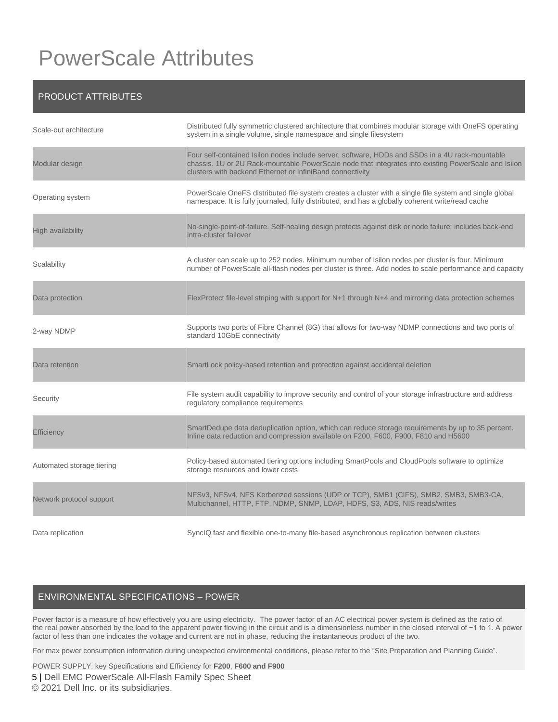# PowerScale Attributes

### PRODUCT ATTRIBUTES

| Scale-out architecture    | Distributed fully symmetric clustered architecture that combines modular storage with OneFS operating<br>system in a single volume, single namespace and single filesystem                                                                                           |
|---------------------------|----------------------------------------------------------------------------------------------------------------------------------------------------------------------------------------------------------------------------------------------------------------------|
| Modular design            | Four self-contained Isilon nodes include server, software, HDDs and SSDs in a 4U rack-mountable<br>chassis. 1U or 2U Rack-mountable PowerScale node that integrates into existing PowerScale and Isilon<br>clusters with backend Ethernet or InfiniBand connectivity |
| Operating system          | PowerScale OneFS distributed file system creates a cluster with a single file system and single global<br>namespace. It is fully journaled, fully distributed, and has a globally coherent write/read cache                                                          |
| High availability         | No-single-point-of-failure. Self-healing design protects against disk or node failure; includes back-end<br>intra-cluster failover                                                                                                                                   |
| Scalability               | A cluster can scale up to 252 nodes. Minimum number of Isilon nodes per cluster is four. Minimum<br>number of PowerScale all-flash nodes per cluster is three. Add nodes to scale performance and capacity                                                           |
| Data protection           | FlexProtect file-level striping with support for N+1 through N+4 and mirroring data protection schemes                                                                                                                                                               |
| 2-way NDMP                | Supports two ports of Fibre Channel (8G) that allows for two-way NDMP connections and two ports of<br>standard 10GbE connectivity                                                                                                                                    |
| Data retention            | SmartLock policy-based retention and protection against accidental deletion                                                                                                                                                                                          |
| Security                  | File system audit capability to improve security and control of your storage infrastructure and address<br>regulatory compliance requirements                                                                                                                        |
| Efficiency                | SmartDedupe data deduplication option, which can reduce storage requirements by up to 35 percent.<br>Inline data reduction and compression available on F200, F600, F900, F810 and H5600                                                                             |
| Automated storage tiering | Policy-based automated tiering options including SmartPools and CloudPools software to optimize<br>storage resources and lower costs                                                                                                                                 |
| Network protocol support  | NFSv3, NFSv4, NFS Kerberized sessions (UDP or TCP), SMB1 (CIFS), SMB2, SMB3, SMB3-CA,<br>Multichannel, HTTP, FTP, NDMP, SNMP, LDAP, HDFS, S3, ADS, NIS reads/writes                                                                                                  |
| Data replication          | SynclQ fast and flexible one-to-many file-based asynchronous replication between clusters                                                                                                                                                                            |

### ENVIRONMENTAL SPECIFICATIONS – POWER

Power factor is a measure of how effectively you are using electricity. The power factor of an [AC](https://en.wikipedia.org/wiki/Alternating_current) electrical power system is defined as the [ratio](https://en.wikipedia.org/wiki/Ratio) of the [real power](https://en.wikipedia.org/wiki/AC_power#Active,_reactive,_and_apparent_power) absorbed by the [load](https://en.wikipedia.org/wiki/Electrical_load) to the apparent power flowing in the circuit and is a [dimensionless number](https://en.wikipedia.org/wiki/Dimensionless_number) in the [closed interval](https://en.wikipedia.org/wiki/Closed_interval) of −1 to 1. A power factor of less than one indicates the voltage and current are not in phase, reducing the instantaneous [product](https://en.wikipedia.org/wiki/Product_(mathematics)) of the two.

For max power consumption information during unexpected environmental conditions, please refer to the "Site Preparation and Planning Guide".

POWER SUPPLY: key Specifications and Efficiency for **F200**, **F600 and F900**

5 | Dell EMC PowerScale All-Flash Family Spec Sheet © 2021 Dell Inc. or its subsidiaries.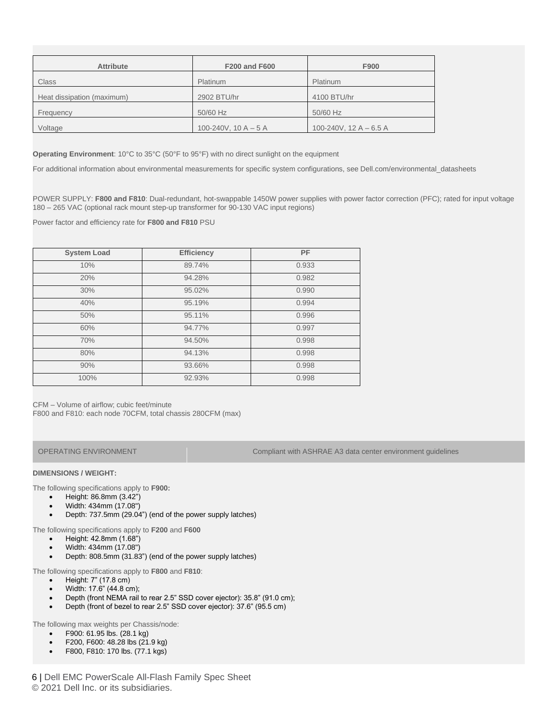| <b>Attribute</b>           | <b>F200 and F600</b>   | F900                     |
|----------------------------|------------------------|--------------------------|
| Class                      | Platinum               | Platinum                 |
| Heat dissipation (maximum) | 2902 BTU/hr            | 4100 BTU/hr              |
| Frequency                  | 50/60 Hz               | 50/60 Hz                 |
| Voltage                    | 100-240V, 10 A $-$ 5 A | 100-240V, $12 A - 6.5 A$ |

**Operating Environment**: 10°C to 35°C (50°F to 95°F) with no direct sunlight on the equipment

For additional information about environmental measurements for specific system configurations, see Dell.com/environmental\_datasheets

POWER SUPPLY: **F800 and F810**: Dual-redundant, hot-swappable 1450W power supplies with power factor correction (PFC); rated for input voltage 180 – 265 VAC (optional rack mount step-up transformer for 90-130 VAC input regions)

Power factor and efficiency rate for **F800 and F810** PSU

| <b>System Load</b> | <b>Efficiency</b> | PF    |
|--------------------|-------------------|-------|
| 10%                | 89.74%            | 0.933 |
| 20%                | 94.28%            | 0.982 |
| 30%                | 95.02%            | 0.990 |
| 40%                | 95.19%            | 0.994 |
| 50%                | 95.11%            | 0.996 |
| 60%                | 94.77%            | 0.997 |
| 70%                | 94.50%            | 0.998 |
| 80%                | 94.13%            | 0.998 |
| 90%                | 93.66%            | 0.998 |
| 100%               | 92.93%            | 0.998 |

CFM – Volume of airflow; cubic feet/minute F800 and F810: each node 70CFM, total chassis 280CFM (max)

OPERATING ENVIRONMENT Compliant with ASHRAE A3 data center environment guidelines

#### **DIMENSIONS / WEIGHT:**

The following specifications apply to **F900:**

- Height: 86.8mm (3.42")
- Width: 434mm (17.08")
- Depth: 737.5mm (29.04") (end of the power supply latches)

The following specifications apply to **F200** and **F600**

- Height: 42.8mm (1.68")
- Width: 434mm (17.08")
- Depth: 808.5mm (31.83") (end of the power supply latches)

The following specifications apply to **F800** and **F810**:

- Height: 7" (17.8 cm)
- Width: 17.6" (44.8 cm);
- Depth (front NEMA rail to rear 2.5" SSD cover ejector): 35.8" (91.0 cm);
- Depth (front of bezel to rear 2.5" SSD cover ejector): 37.6" (95.5 cm)

The following max weights per Chassis/node:

- F900: 61.95 lbs. (28.1 kg)
- F200, F600: 48.28 lbs (21.9 kg)
- F800, F810: 170 lbs. (77.1 kgs)

6 | Dell EMC PowerScale All-Flash Family Spec Sheet © 2021 Dell Inc. or its subsidiaries.